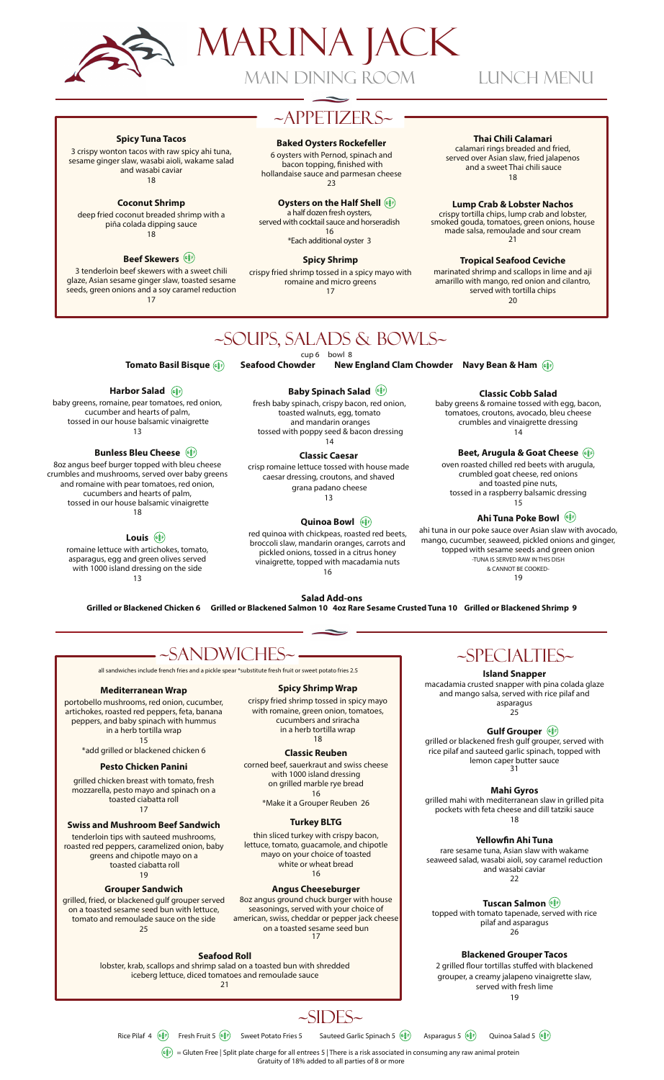

# Marina Jack Main Dining Room Lunch Menu

### $\sim$ APPETIZERS $\sim$

#### **Baked Oysters Rockefeller**

6 oysters with Pernod, spinach and bacon topping, finished with hollandaise sauce and parmesan cheese 23

**Oysters on the Half Shell** (6) a half dozen fresh oysters,

served with cocktail sauce and horseradish 16

\*Each additional oyster 3

**Spicy Shrimp** 

crispy fried shrimp tossed in a spicy mayo with romaine and micro greens  $17$ 

#### Thai Chili Calamari

calamari rings breaded and fried. served over Asian slaw, fried jalapenos and a sweet Thai chili sauce 18

**Lump Crab & Lobster Nachos** crispy tortilla chips, lump crab and lobster, smoked gouda, tomatoes, green onions, house made salsa, remoulade and sour cream 21

**Tropical Seafood Ceviche** 

marinated shrimp and scallops in lime and aji amarillo with mango, red onion and cilantro, served with tortilla chips 20

Beet, Arugula & Goat Cheese( oven roasted chilled red beets with arugula, crumbled goat cheese, red onions and toasted pine nuts. tossed in a raspberry balsamic dressing  $15$ 

Ahi Tuna Poke Bowl ahi tuna in our poke sauce over Asian slaw with avocado, mango, cucumber, seaweed, pickled onions and ginger, topped with sesame seeds and green onion -TUNA IS SERVED RAW IN THIS DISH & CANNOT BE COOKED-19

**Classic Cobb Salad** baby greens & romaine tossed with egg, bacon, tomatoes, croutons, avocado, bleu cheese crumbles and vinaigrette dressing  $14$ 

### ~Soups, Salads & Bowls~

cup 6 bowl 8

**Tomato Basil Bisque (6) [6]** Seafood C howder New England Clam Chowder Navy Bean & Ham

#### Harbor Salad (

**Beef Skewers** ( 3 tenderloin beef skewers with a sweet chili glaze, Asian sesame ginger slaw, toasted sesame seeds, green onions and a soy caramel reduction 17

**Coconut Shrimp** deep fried coconut breaded shrimp with a piña colada dipping sauce -

**Spicy Tuna Tacos** 3 crispy wonton tacos with raw spicy ahi tuna, sesame ginger slaw, wasabi aioli, wakame salad and wasabi caviar 18

baby greens, romaine, pear tomatoes, red onion, cucumber and hearts of palm, tossed in our house balsamic vinaigrette  $13$ 

#### **Bunless Bleu Cheese**

8oz angus beef burger topped with bleu cheese crumbles and mushrooms, served over baby greens and romaine with pear tomatoes, red onion, cucumbers and hearts of palm, tossed in our house balsamic vinaigrette 18

#### Louis<sup>(</sup>

romaine lettuce with artichokes, tomato, asparagus, egg and green olives served with 1000 island dressing on the side  $13$ 

**Baby Spinach Salad** (

fresh baby spinach, crispy bacon, red onion, toasted walnuts, egg, tomato and mandarin oranges tossed with poppy seed & bacon dressing  $14$ 

Classic Caesar crisp romaine lettuce tossed with house made caesar dressing, croutons, and shaved grana padano cheese  $13$ 

### Quinoa Bowl (

red quinoa with chickpeas, roasted red beets, broccoli slaw, mandarin oranges, carrots and pickled onions, tossed in a citrus honey vinaigrette, topped with macadamia nuts  $16$ 

**Salad Add-ons** Grilled or Blackened Chicken 6 Grilled or Blackened Salmon 10 4oz Rare Sesame Crusted Tuna 10 Grilled or Blackened Shrimp 9



#### Mediterranean Wrap

portobello mushrooms, red onion, cucumber, artichokes, roasted red peppers, feta, banana peppers, and baby spinach with hummus in a herb tortilla wrap  $15$ 

\*add grilled or blackened chicken 6

#### Pesto Chicken Panini

grilled chicken breast with tomato, fresh mozzarella, pesto mayo and spinach on a toasted ciabatta roll 17

#### **Swiss and Mushroom Beef Sandwich**

tenderloin tips with sauteed mushrooms, roasted red peppers, caramelized onion, baby greens and chipotle mayo on a toasted ciabatta roll 19

#### **Grouper Sandwich**

grilled, fried, or blackened gulf grouper served on a toasted sesame seed bun with lettuce,

#### tomato and remoulade sauce on the side 25

#### **Seafood Roll**

lobster, krab, scallops and shrimp salad on a toasted bun with shredded iceberg lettuce, diced tomatoes and remoulade sauce 21

### ~Specialties~

**Island Snapper** 

macadamia crusted snapper with pina colada glaze and mango salsa, served with rice pilaf and asparagus

25

#### **Gulf Grouper** (

grilled or blackened fresh gulf grouper, served with rice pilaf and sauteed garlic spinach, topped with lemon caper butter sauce  $31$ 

Mahi Gyros

grilled mahi with mediterranean slaw in grilled pita pockets with feta cheese and dill tatziki sauce 18

Yellowfin Ahi Tuna

rare sesame tuna, Asian slaw with wakame seaweed salad, wasabi aioli, soy caramel reduction and wasabi caviar  $\frac{1}{22}$ 

Tuscan Salmon

topped with tomato tapenade, served with rice pilaf and asparagus 26

#### **Blackened Grouper Tacos**

2 grilled flour tortillas stuffed with blackened grouper, a creamy jalapeno vinaigrette slaw, served with fresh lime 19

### $-SIDES~$

Rice Pilaf 4  $(\frac{2}{3})$  Fresh Fruit 5  $(\frac{2}{3})$  Sweet Potato Fries 5 Sauteed Garlic Spinach 5  $(\hat{\S}^{\sharp} \hat{\S})$  Asparagus 5  $(\hat{\S}^{\sharp} \hat{\S})$  Quinoa Salad 5  $(\hat{\S}^{\sharp} \hat{\S})$ 

Gratuity of 18% added to all parties of 8 or more

 $(\mathfrak{g}^*_{\mathbb R^F})=$  Gluten Free | Split plate charge for all entrees 5 | There is a risk associated in consuming any raw animal protein

with romaine, green onion, tomatoes, cucumbers and sriracha in a herb tortilla wrap

#### **Classic Reuben**

corned beef, sauerkraut and swiss cheese with 1000 island dressing on grilled marble rye bread 16 \*Make it a Grouper Reuben 26

18

**Spicy Shrimp Wrap** crispy fried shrimp tossed in spicy mayo

#### **Turkey BLTG**

thin sliced turkey with crispy bacon, lettuce, tomato, guacamole, and chipotle mayo on your choice of toasted white or wheat bread 16

#### **Angus Cheeseburger**

8oz angus ground chuck burger with house seasonings, served with your choice of american, swiss, cheddar or pepper jack cheese on a toasted sesame seed bun 17